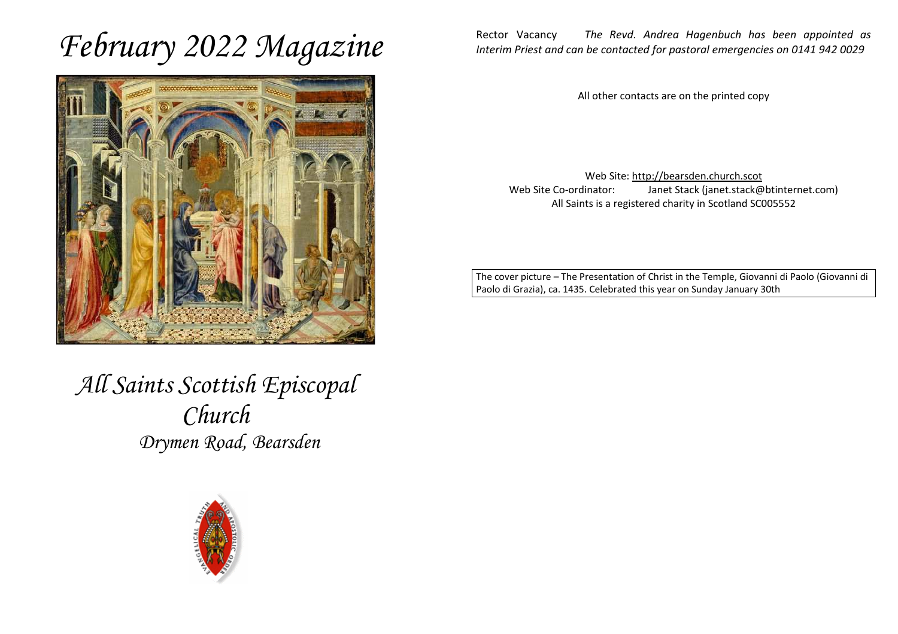# *February 2022 Magazine*



*All Saints Scottish Episcopal Church Drymen Road, Bearsden* 



Rector Vacancy *The Revd. Andrea Hagenbuch has been appointed as Interim Priest and can be contacted for pastoral emergencies on 0141 942 0029* 

All other contacts are on the printed copy

Web Site: http://bearsden.church.scot Web Site Co-ordinator: Janet Stack (janet.stack@btinternet.com) All Saints is a registered charity in Scotland SC005552

The cover picture – The Presentation of Christ in the Temple, Giovanni di Paolo (Giovanni di Paolo di Grazia), ca. 1435. Celebrated this year on Sunday January 30th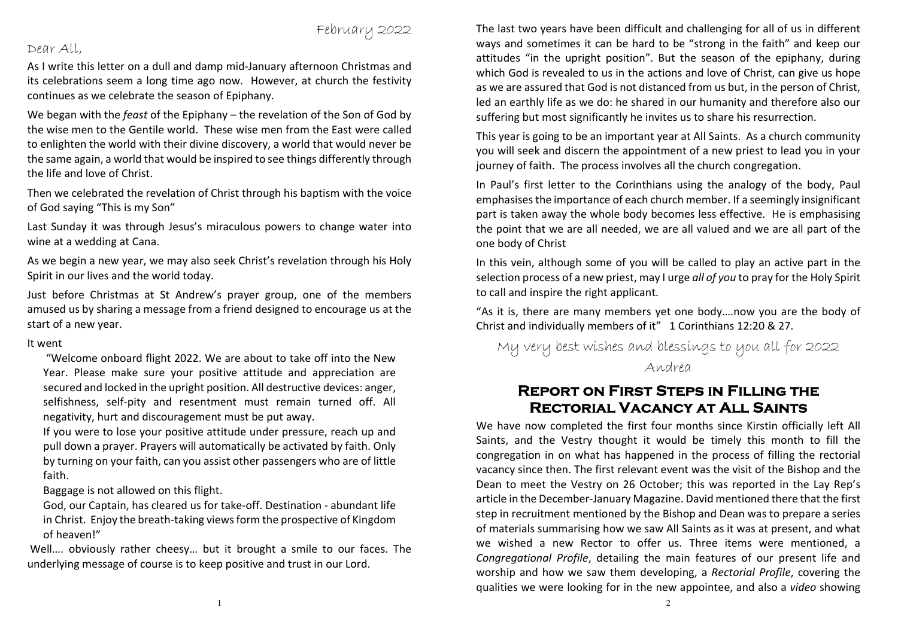### February 2022

#### Dear All,

As I write this letter on a dull and damp mid-January afternoon Christmas and its celebrations seem a long time ago now. However, at church the festivity continues as we celebrate the season of Epiphany.

We began with the *feast* of the Epiphany – the revelation of the Son of God by the wise men to the Gentile world. These wise men from the East were called to enlighten the world with their divine discovery, a world that would never be the same again, a world that would be inspired to see things differently through the life and love of Christ.

Then we celebrated the revelation of Christ through his baptism with the voice of God saying "This is my Son"

Last Sunday it was through Jesus's miraculous powers to change water into wine at a wedding at Cana.

As we begin a new year, we may also seek Christ's revelation through his Holy Spirit in our lives and the world today.

Just before Christmas at St Andrew's prayer group, one of the members amused us by sharing a message from a friend designed to encourage us at the start of a new year.

#### It went

 "Welcome onboard flight 2022. We are about to take off into the New Year. Please make sure your positive attitude and appreciation are secured and locked in the upright position. All destructive devices: anger, selfishness, self-pity and resentment must remain turned off. All negativity, hurt and discouragement must be put away.

 If you were to lose your positive attitude under pressure, reach up and pull down a prayer. Prayers will automatically be activated by faith. Only by turning on your faith, can you assist other passengers who are of little faith.

Baggage is not allowed on this flight.

God, our Captain, has cleared us for take-off. Destination - abundant life in Christ. Enjoy the breath-taking views form the prospective of Kingdom of heaven!"

 Well…. obviously rather cheesy… but it brought a smile to our faces. The underlying message of course is to keep positive and trust in our Lord.

The last two years have been difficult and challenging for all of us in different ways and sometimes it can be hard to be "strong in the faith" and keep our attitudes "in the upright position". But the season of the epiphany, during which God is revealed to us in the actions and love of Christ, can give us hope as we are assured that God is not distanced from us but, in the person of Christ, led an earthly life as we do: he shared in our humanity and therefore also our suffering but most significantly he invites us to share his resurrection.

This year is going to be an important year at All Saints. As a church community you will seek and discern the appointment of a new priest to lead you in your journey of faith. The process involves all the church congregation.

In Paul's first letter to the Corinthians using the analogy of the body, Paul emphasises the importance of each church member. If a seemingly insignificant part is taken away the whole body becomes less effective. He is emphasising the point that we are all needed, we are all valued and we are all part of the one body of Christ

In this vein, although some of you will be called to play an active part in the selection process of a new priest, may I urge *all of you* to pray for the Holy Spirit to call and inspire the right applicant.

"As it is, there are many members yet one body….now you are the body of Christ and individually members of it" 1 Corinthians 12:20 & 27.

My very best wishes and blessings to you all for 2022 Andrea

## **Report on First Steps in Filling the Rectorial Vacancy at All Saints**

 We have now completed the first four months since Kirstin officially left All Saints, and the Vestry thought it would be timely this month to fill the congregation in on what has happened in the process of filling the rectorial vacancy since then. The first relevant event was the visit of the Bishop and the Dean to meet the Vestry on 26 October; this was reported in the Lay Rep's article in the December-January Magazine. David mentioned there that the first step in recruitment mentioned by the Bishop and Dean was to prepare a series of materials summarising how we saw All Saints as it was at present, and what we wished a new Rector to offer us. Three items were mentioned, a *Congregational Profile*, detailing the main features of our present life and worship and how we saw them developing, a *Rectorial Profile*, covering the qualities we were looking for in the new appointee, and also a *video* showing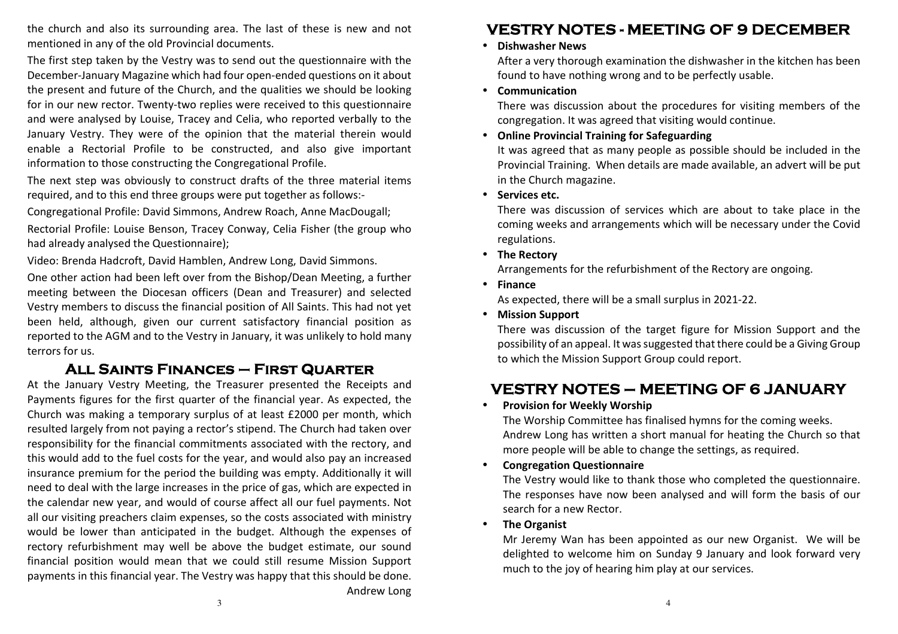the church and also its surrounding area. The last of these is new and not mentioned in any of the old Provincial documents.

The first step taken by the Vestry was to send out the questionnaire with the December-January Magazine which had four open-ended questions on it about the present and future of the Church, and the qualities we should be looking for in our new rector. Twenty-two replies were received to this questionnaire and were analysed by Louise, Tracey and Celia, who reported verbally to the January Vestry. They were of the opinion that the material therein would enable a Rectorial Profile to be constructed, and also give important information to those constructing the Congregational Profile.

The next step was obviously to construct drafts of the three material items required, and to this end three groups were put together as follows:-

Congregational Profile: David Simmons, Andrew Roach, Anne MacDougall;

Rectorial Profile: Louise Benson, Tracey Conway, Celia Fisher (the group who had already analysed the Questionnaire);

Video: Brenda Hadcroft, David Hamblen, Andrew Long, David Simmons.

One other action had been left over from the Bishop/Dean Meeting, a further meeting between the Diocesan officers (Dean and Treasurer) and selected Vestry members to discuss the financial position of All Saints. This had not yet been held, although, given our current satisfactory financial position as reported to the AGM and to the Vestry in January, it was unlikely to hold many terrors for us.

# **All Saints Finances – First Quarter**

 At the January Vestry Meeting, the Treasurer presented the Receipts and Payments figures for the first quarter of the financial year. As expected, the Church was making a temporary surplus of at least £2000 per month, which resulted largely from not paying a rector's stipend. The Church had taken over responsibility for the financial commitments associated with the rectory, and this would add to the fuel costs for the year, and would also pay an increased insurance premium for the period the building was empty. Additionally it will need to deal with the large increases in the price of gas, which are expected in the calendar new year, and would of course affect all our fuel payments. Not all our visiting preachers claim expenses, so the costs associated with ministry would be lower than anticipated in the budget. Although the expenses of rectory refurbishment may well be above the budget estimate, our sound financial position would mean that we could still resume Mission Support payments in this financial year. The Vestry was happy that this should be done. Andrew Long

# **VESTRY NOTES - MEETING OF 9 DECEMBER**

#### • **Dishwasher News**

After a very thorough examination the dishwasher in the kitchen has been found to have nothing wrong and to be perfectly usable.

#### • **Communication**

There was discussion about the procedures for visiting members of the congregation. It was agreed that visiting would continue.

### • **Online Provincial Training for Safeguarding**

It was agreed that as many people as possible should be included in the Provincial Training. When details are made available, an advert will be put in the Church magazine.

• **Services etc.** 

There was discussion of services which are about to take place in the coming weeks and arrangements which will be necessary under the Covid regulations.

• **The Rectory** 

Arrangements for the refurbishment of the Rectory are ongoing.

• **Finance** 

As expected, there will be a small surplus in 2021-22.

• **Mission Support** 

There was discussion of the target figure for Mission Support and the possibility of an appeal. It was suggested that there could be a Giving Group to which the Mission Support Group could report.

# **VESTRY NOTES – MEETING OF 6 JANUARY**

#### •**Provision for Weekly Worship**

 The Worship Committee has finalised hymns for the coming weeks. Andrew Long has written a short manual for heating the Church so that more people will be able to change the settings, as required.

•**Congregation Questionnaire** 

> The Vestry would like to thank those who completed the questionnaire. The responses have now been analysed and will form the basis of our search for a new Rector.

#### •**The Organist**

Mr Jeremy Wan has been appointed as our new Organist. We will be delighted to welcome him on Sunday 9 January and look forward very much to the joy of hearing him play at our services.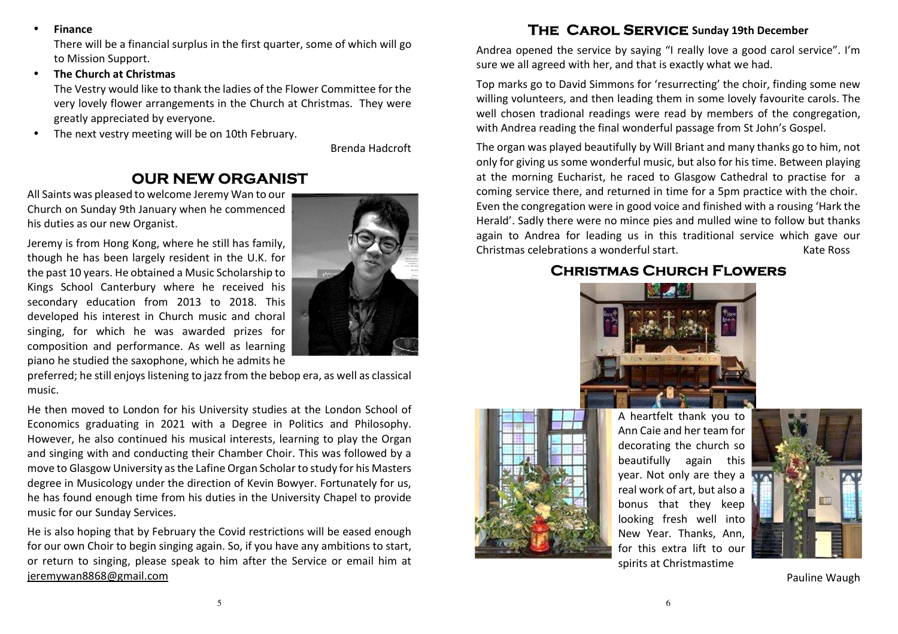•**Finance** 

> There will be a financial surplus in the first quarter, some of which will go to Mission Support.

•**The Church at Christmas** 

> The Vestry would like to thank the ladies of the Flower Committee for the very lovely flower arrangements in the Church at Christmas. They were greatly appreciated by everyone.

•The next vestry meeting will be on 10th February.

Brenda Hadcroft

#### **OUR NEW ORGANIST**

All Saints was pleased to welcome Jeremy Wan to ourChurch on Sunday 9th January when he commenced his duties as our new Organist.

Jeremy is from Hong Kong, where he still has family, though he has been largely resident in the U.K. for the past 10 years. He obtained a Music Scholarship to Kings School Canterbury where he received his secondary education from 2013 to 2018. This developed his interest in Church music and choral singing, for which he was awarded prizes for composition and performance. As well as learning piano he studied the saxophone, which he admits he



preferred; he still enjoys listening to jazz from the bebop era, as well as classicalmusic.

He then moved to London for his University studies at the London School of Economics graduating in 2021 with a Degree in Politics and Philosophy. However, he also continued his musical interests, learning to play the Organ and singing with and conducting their Chamber Choir. This was followed by a move to Glasgow University as the Lafine Organ Scholar to study for his Masters degree in Musicology under the direction of Kevin Bowyer. Fortunately for us, he has found enough time from his duties in the University Chapel to provide music for our Sunday Services.

He is also hoping that by February the Covid restrictions will be eased enough for our own Choir to begin singing again. So, if you have any ambitions to start, or return to singing, please speak to him after the Service or email him at jeremywan8868@gmail.com

#### **The Carol Service Sunday 19th December**

Andrea opened the service by saying "I really love a good carol service". I'm sure we all agreed with her, and that is exactly what we had.

Top marks go to David Simmons for 'resurrecting' the choir, finding some new willing volunteers, and then leading them in some lovely favourite carols. The well chosen tradional readings were read by members of the congregation, with Andrea reading the final wonderful passage from St John's Gospel.

The organ was played beautifully by Will Briant and many thanks go to him, not only for giving us some wonderful music, but also for his time. Between playing at the morning Eucharist, he raced to Glasgow Cathedral to practise for a coming service there, and returned in time for a 5pm practice with the choir. Even the congregation were in good voice and finished with a rousing 'Hark the Herald'. Sadly there were no mince pies and mulled wine to follow but thanks again to Andrea for leading us in this traditional service which gave our Christmas celebrations a wonderful start. Kate Ross

#### **Christmas Church Flowers**





A heartfelt thank you to Ann Caie and her team for decorating the church so beautifully again this year. Not only are they a real work of art, but also a bonus that they keep looking fresh well into New Year. Thanks, Ann, for this extra lift to our spirits at Christmastime



Pauline Waugh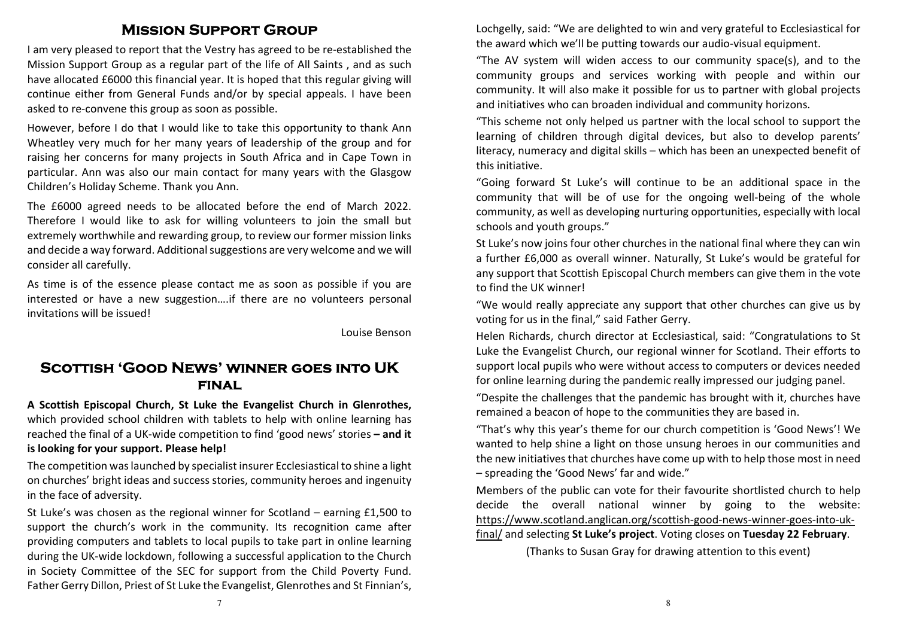#### **Mission Support Group**

I am very pleased to report that the Vestry has agreed to be re-established the Mission Support Group as a regular part of the life of All Saints , and as such have allocated £6000 this financial year. It is hoped that this regular giving will continue either from General Funds and/or by special appeals. I have been asked to re-convene this group as soon as possible.

However, before I do that I would like to take this opportunity to thank Ann Wheatley very much for her many years of leadership of the group and for raising her concerns for many projects in South Africa and in Cape Town in particular. Ann was also our main contact for many years with the Glasgow Children's Holiday Scheme. Thank you Ann.

The £6000 agreed needs to be allocated before the end of March 2022. Therefore I would like to ask for willing volunteers to join the small but extremely worthwhile and rewarding group, to review our former mission links and decide a way forward. Additional suggestions are very welcome and we will consider all carefully.

As time is of the essence please contact me as soon as possible if you are interested or have a new suggestion….if there are no volunteers personal invitations will be issued!

Louise Benson

# **Scottish 'Good News' winner goes into UK final**

**A Scottish Episcopal Church, St Luke the Evangelist Church in Glenrothes,** which provided school children with tablets to help with online learning has reached the final of a UK-wide competition to find 'good news' stories - and it **is looking for your support. Please help!**

The competition was launched by specialist insurer Ecclesiastical to shine a light on churches' bright ideas and success stories, community heroes and ingenuity in the face of adversity.

St Luke's was chosen as the regional winner for Scotland – earning £1,500 to support the church's work in the community. Its recognition came after providing computers and tablets to local pupils to take part in online learning during the UK-wide lockdown, following a successful application to the Church in Society Committee of the SEC for support from the Child Poverty Fund. Father Gerry Dillon, Priest of St Luke the Evangelist, Glenrothes and St Finnian's,

Lochgelly, said: "We are delighted to win and very grateful to Ecclesiastical for the award which we'll be putting towards our audio-visual equipment.

"The AV system will widen access to our community space(s), and to the community groups and services working with people and within our community. It will also make it possible for us to partner with global projects and initiatives who can broaden individual and community horizons.

"This scheme not only helped us partner with the local school to support the learning of children through digital devices, but also to develop parents' literacy, numeracy and digital skills – which has been an unexpected benefit of this initiative.

"Going forward St Luke's will continue to be an additional space in the community that will be of use for the ongoing well-being of the whole community, as well as developing nurturing opportunities, especially with local schools and youth groups."

St Luke's now joins four other churches in the national final where they can win a further £6,000 as overall winner. Naturally, St Luke's would be grateful for any support that Scottish Episcopal Church members can give them in the vote to find the UK winner!

"We would really appreciate any support that other churches can give us by voting for us in the final," said Father Gerry.

Helen Richards, church director at Ecclesiastical, said: "Congratulations to St Luke the Evangelist Church, our regional winner for Scotland. Their efforts to support local pupils who were without access to computers or devices needed for online learning during the pandemic really impressed our judging panel.

"Despite the challenges that the pandemic has brought with it, churches have remained a beacon of hope to the communities they are based in.

"That's why this year's theme for our church competition is 'Good News'! We wanted to help shine a light on those unsung heroes in our communities and the new initiatives that churches have come up with to help those most in need – spreading the 'Good News' far and wide."

Members of the public can vote for their favourite shortlisted church to help decide the overall national winner by going to the website: https://www.scotland.anglican.org/scottish-good-news-winner-goes-into-ukfinal/ and selecting **St Luke's project**. Voting closes on **Tuesday 22 February**.

(Thanks to Susan Gray for drawing attention to this event)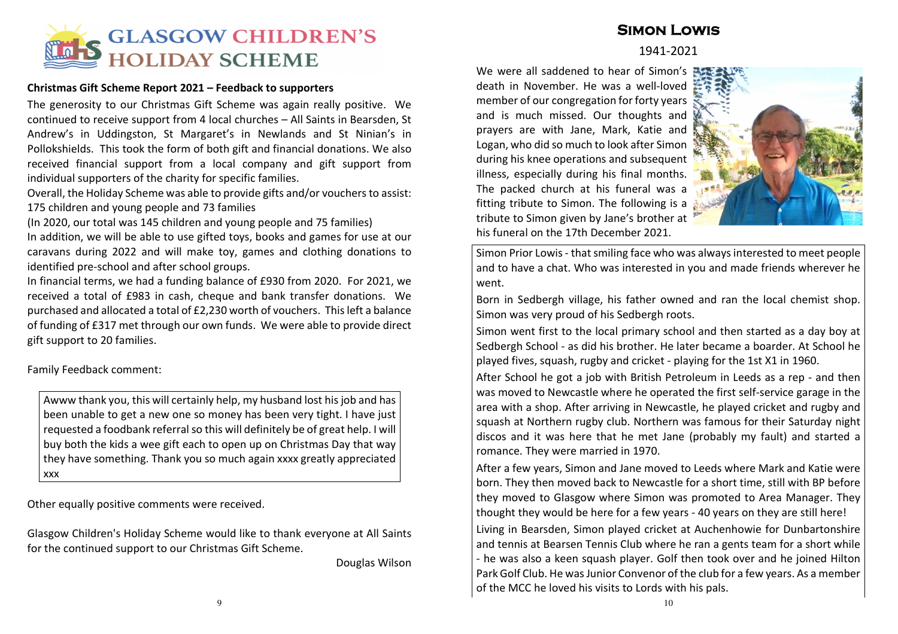

#### **Christmas Gift Scheme Report 2021 – Feedback to supporters**

The generosity to our Christmas Gift Scheme was again really positive. We continued to receive support from 4 local churches – All Saints in Bearsden, St Andrew's in Uddingston, St Margaret's in Newlands and St Ninian's in Pollokshields. This took the form of both gift and financial donations. We also received financial support from a local company and gift support from individual supporters of the charity for specific families.

Overall, the Holiday Scheme was able to provide gifts and/or vouchers to assist: 175 children and young people and 73 families

(In 2020, our total was 145 children and young people and 75 families)

In addition, we will be able to use gifted toys, books and games for use at our caravans during 2022 and will make toy, games and clothing donations to identified pre-school and after school groups.

In financial terms, we had a funding balance of £930 from 2020. For 2021, we received a total of £983 in cash, cheque and bank transfer donations. We purchased and allocated a total of £2,230 worth of vouchers. This left a balance of funding of £317 met through our own funds. We were able to provide direct gift support to 20 families.

Family Feedback comment:

Awww thank you, this will certainly help, my husband lost his job and has been unable to get a new one so money has been very tight. I have just requested a foodbank referral so this will definitely be of great help. I will buy both the kids a wee gift each to open up on Christmas Day that way they have something. Thank you so much again xxxx greatly appreciated xxx

Other equally positive comments were received.

Glasgow Children's Holiday Scheme would like to thank everyone at All Saints for the continued support to our Christmas Gift Scheme.

Douglas Wilson

## **Simon Lowis**

#### 1941-2021

We were all saddened to hear of Simon's death in November. He was a well-loved member of our congregation for forty years and is much missed. Our thoughts and prayers are with Jane, Mark, Katie and Logan, who did so much to look after Simon during his knee operations and subsequent illness, especially during his final months. The packed church at his funeral was a fitting tribute to Simon. The following is a tribute to Simon given by Jane's brother at his funeral on the 17th December 2021.



Simon Prior Lowis - that smiling face who was always interested to meet people and to have a chat. Who was interested in you and made friends wherever he went.

Born in Sedbergh village, his father owned and ran the local chemist shop. Simon was very proud of his Sedbergh roots.

Simon went first to the local primary school and then started as a day boy at Sedbergh School - as did his brother. He later became a boarder. At School he played fives, squash, rugby and cricket - playing for the 1st X1 in 1960.

After School he got a job with British Petroleum in Leeds as a rep - and then was moved to Newcastle where he operated the first self-service garage in the area with a shop. After arriving in Newcastle, he played cricket and rugby and squash at Northern rugby club. Northern was famous for their Saturday night discos and it was here that he met Jane (probably my fault) and started a romance. They were married in 1970.

After a few years, Simon and Jane moved to Leeds where Mark and Katie were born. They then moved back to Newcastle for a short time, still with BP before they moved to Glasgow where Simon was promoted to Area Manager. They thought they would be here for a few years - 40 years on they are still here!

Living in Bearsden, Simon played cricket at Auchenhowie for Dunbartonshire and tennis at Bearsen Tennis Club where he ran a gents team for a short while - he was also a keen squash player. Golf then took over and he joined Hilton Park Golf Club. He was Junior Convenor of the club for a few years. As a member of the MCC he loved his visits to Lords with his pals.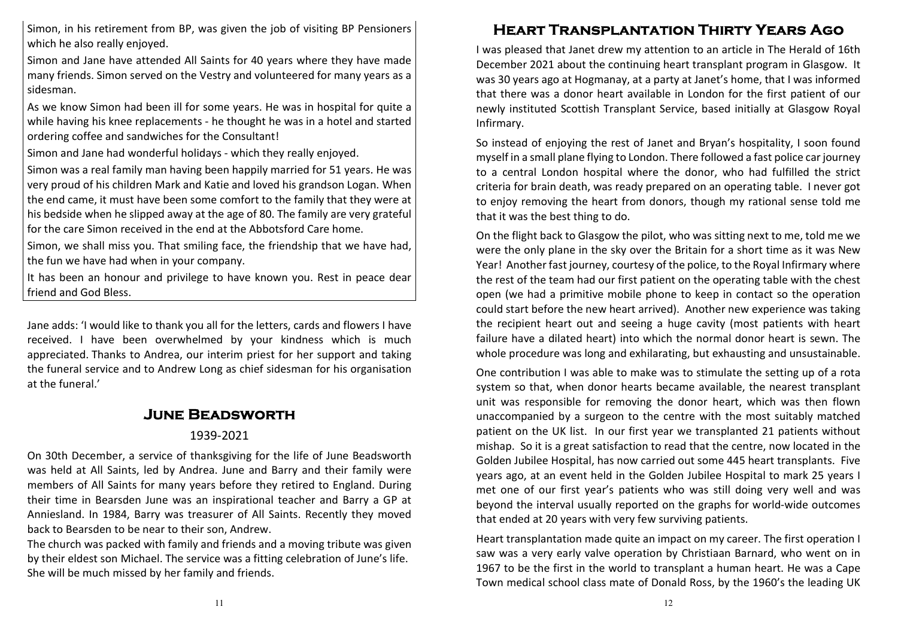Simon, in his retirement from BP, was given the job of visiting BP Pensioners which he also really enjoyed.

Simon and Jane have attended All Saints for 40 years where they have made many friends. Simon served on the Vestry and volunteered for many years as a sidesman.

As we know Simon had been ill for some years. He was in hospital for quite a while having his knee replacements - he thought he was in a hotel and started ordering coffee and sandwiches for the Consultant!

Simon and Jane had wonderful holidays - which they really enjoyed.

Simon was a real family man having been happily married for 51 years. He was very proud of his children Mark and Katie and loved his grandson Logan. When the end came, it must have been some comfort to the family that they were at his bedside when he slipped away at the age of 80. The family are very grateful for the care Simon received in the end at the Abbotsford Care home.

Simon, we shall miss you. That smiling face, the friendship that we have had, the fun we have had when in your company.

It has been an honour and privilege to have known you. Rest in peace dear friend and God Bless.

Jane adds: 'I would like to thank you all for the letters, cards and flowers I have received. I have been overwhelmed by your kindness which is much appreciated. Thanks to Andrea, our interim priest for her support and taking the funeral service and to Andrew Long as chief sidesman for his organisation at the funeral.'

### **June Beadsworth**

#### 1939-2021

On 30th December, a service of thanksgiving for the life of June Beadsworth was held at All Saints, led by Andrea. June and Barry and their family were members of All Saints for many years before they retired to England. During their time in Bearsden June was an inspirational teacher and Barry a GP at Anniesland. In 1984, Barry was treasurer of All Saints. Recently they moved back to Bearsden to be near to their son, Andrew.

The church was packed with family and friends and a moving tribute was given by their eldest son Michael. The service was a fitting celebration of June's life. She will be much missed by her family and friends.

# **Heart Transplantation Thirty Years Ago**

I was pleased that Janet drew my attention to an article in The Herald of 16th December 2021 about the continuing heart transplant program in Glasgow. It was 30 years ago at Hogmanay, at a party at Janet's home, that I was informed that there was a donor heart available in London for the first patient of our newly instituted Scottish Transplant Service, based initially at Glasgow Royal Infirmary.

So instead of enjoying the rest of Janet and Bryan's hospitality, I soon found myself in a small plane flying to London. There followed a fast police car journey to a central London hospital where the donor, who had fulfilled the strict criteria for brain death, was ready prepared on an operating table. I never got to enjoy removing the heart from donors, though my rational sense told me that it was the best thing to do.

On the flight back to Glasgow the pilot, who was sitting next to me, told me we were the only plane in the sky over the Britain for a short time as it was New Year! Another fast journey, courtesy of the police, to the Royal Infirmary where the rest of the team had our first patient on the operating table with the chest open (we had a primitive mobile phone to keep in contact so the operation could start before the new heart arrived). Another new experience was taking the recipient heart out and seeing a huge cavity (most patients with heart failure have a dilated heart) into which the normal donor heart is sewn. The whole procedure was long and exhilarating, but exhausting and unsustainable.

One contribution I was able to make was to stimulate the setting up of a rota system so that, when donor hearts became available, the nearest transplant unit was responsible for removing the donor heart, which was then flown unaccompanied by a surgeon to the centre with the most suitably matched patient on the UK list. In our first year we transplanted 21 patients without mishap. So it is a great satisfaction to read that the centre, now located in the Golden Jubilee Hospital, has now carried out some 445 heart transplants. Five years ago, at an event held in the Golden Jubilee Hospital to mark 25 years I met one of our first year's patients who was still doing very well and was beyond the interval usually reported on the graphs for world-wide outcomes that ended at 20 years with very few surviving patients.

Heart transplantation made quite an impact on my career. The first operation I saw was a very early valve operation by Christiaan Barnard, who went on in 1967 to be the first in the world to transplant a human heart. He was a Cape Town medical school class mate of Donald Ross, by the 1960's the leading UK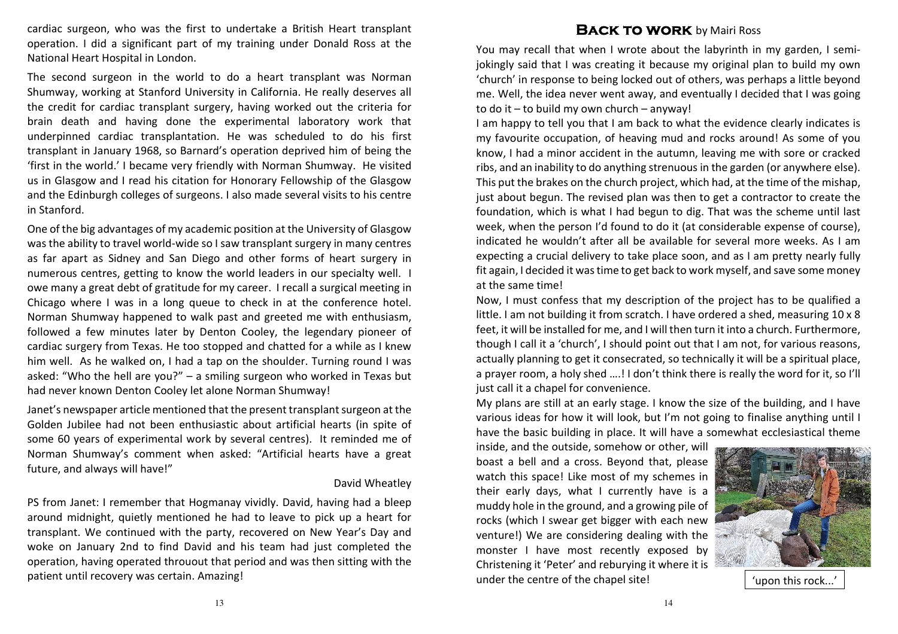cardiac surgeon, who was the first to undertake a British Heart transplant operation. I did a significant part of my training under Donald Ross at the National Heart Hospital in London.

The second surgeon in the world to do a heart transplant was Norman Shumway, working at Stanford University in California. He really deserves all the credit for cardiac transplant surgery, having worked out the criteria for brain death and having done the experimental laboratory work that underpinned cardiac transplantation. He was scheduled to do his first transplant in January 1968, so Barnard's operation deprived him of being the 'first in the world.' I became very friendly with Norman Shumway. He visited us in Glasgow and I read his citation for Honorary Fellowship of the Glasgow and the Edinburgh colleges of surgeons. I also made several visits to his centre in Stanford.

One of the big advantages of my academic position at the University of Glasgow was the ability to travel world-wide so I saw transplant surgery in many centres as far apart as Sidney and San Diego and other forms of heart surgery in numerous centres, getting to know the world leaders in our specialty well. I owe many a great debt of gratitude for my career. I recall a surgical meeting in Chicago where I was in a long queue to check in at the conference hotel. Norman Shumway happened to walk past and greeted me with enthusiasm, followed a few minutes later by Denton Cooley, the legendary pioneer of cardiac surgery from Texas. He too stopped and chatted for a while as I knew him well. As he walked on, I had a tap on the shoulder. Turning round I was asked: "Who the hell are you?" – a smiling surgeon who worked in Texas but had never known Denton Cooley let alone Norman Shumway!

Janet's newspaper article mentioned that the present transplant surgeon at the Golden Jubilee had not been enthusiastic about artificial hearts (in spite of some 60 years of experimental work by several centres). It reminded me of Norman Shumway's comment when asked: "Artificial hearts have a great future, and always will have!"

#### David Wheatley

PS from Janet: I remember that Hogmanay vividly. David, having had a bleep around midnight, quietly mentioned he had to leave to pick up a heart for transplant. We continued with the party, recovered on New Year's Day and woke on January 2nd to find David and his team had just completed the operation, having operated throuout that period and was then sitting with the patient until recovery was certain. Amazing!

#### **BACK TO WORK** by Mairi Ross

You may recall that when I wrote about the labyrinth in my garden, I semijokingly said that I was creating it because my original plan to build my own 'church' in response to being locked out of others, was perhaps a little beyond me. Well, the idea never went away, and eventually I decided that I was going to do it – to build my own church – anyway!

I am happy to tell you that I am back to what the evidence clearly indicates is my favourite occupation, of heaving mud and rocks around! As some of you know, I had a minor accident in the autumn, leaving me with sore or cracked ribs, and an inability to do anything strenuous in the garden (or anywhere else). This put the brakes on the church project, which had, at the time of the mishap, just about begun. The revised plan was then to get a contractor to create the foundation, which is what I had begun to dig. That was the scheme until last week, when the person I'd found to do it (at considerable expense of course), indicated he wouldn't after all be available for several more weeks. As I am expecting a crucial delivery to take place soon, and as I am pretty nearly fully fit again, I decided it was time to get back to work myself, and save some money at the same time!

Now, I must confess that my description of the project has to be qualified a little. I am not building it from scratch. I have ordered a shed, measuring 10 x 8 feet, it will be installed for me, and I will then turn it into a church. Furthermore, though I call it a 'church', I should point out that I am not, for various reasons, actually planning to get it consecrated, so technically it will be a spiritual place, a prayer room, a holy shed ….! I don't think there is really the word for it, so I'll just call it a chapel for convenience.

My plans are still at an early stage. I know the size of the building, and I have various ideas for how it will look, but I'm not going to finalise anything until I have the basic building in place. It will have a somewhat ecclesiastical theme

inside, and the outside, somehow or other, will boast a bell and a cross. Beyond that, please watch this space! Like most of my schemes in their early days, what I currently have is a muddy hole in the ground, and a growing pile of rocks (which I swear get bigger with each new venture!) We are considering dealing with the monster I have most recently exposed by Christening it 'Peter' and reburying it where it isunder the centre of the chapel site! 'upon this rock...'

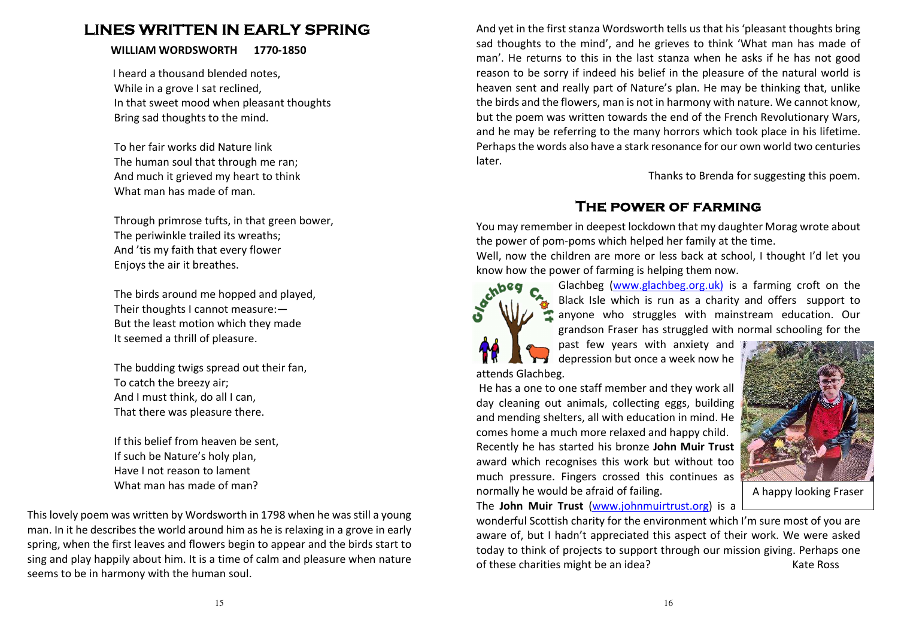LINES WHETHER INNERENT IN EARLY SPRING<br>
IN WILLIAM WORKSWORTH 1770-1850<br>
NEW WORKSWORTH 1770-1850<br>
The mass change of the state of the state of the state of the state of the state of the state of the state of the state of





normally he would be afraid of failing.<br> **A happy looking Fraser**<br> **The John Muir Trust** (www.johnmuirtrust.org) is a<br>
wonderful Scottish charity for the environment which I'm sure most of you are<br>
aware of, but I hadn't a